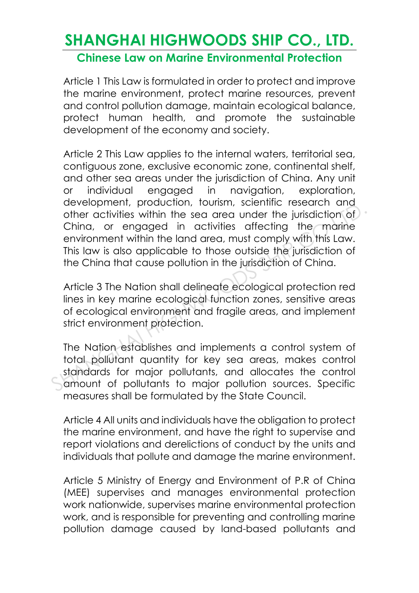#### **Chinese Law on Marine Environmental Protection**

Article 1 This Law is formulated in order to protect and improve the marine environment, protect marine resources, prevent and control pollution damage, maintain ecological balance, protect human health, and promote the sustainable development of the economy and society.

Article 2 This Law applies to the internal waters, territorial sea, contiguous zone, exclusive economic zone, continental shelf, and other sea areas under the jurisdiction of China. Any unit or individual engaged in navigation, exploration, development, production, tourism, scientific research and other activities within the sea area under the jurisdiction of China, or engaged in activities affecting the marine environment within the land area, must comply with this Law. This law is also applicable to those outside the jurisdiction of the China that cause pollution in the jurisdiction of China. development, poduction, constring selemnic research and other activities within the sea area under the jurisdiction of China, or engaged in activities affecting the marine environment within the land area, must comply with

Article 3 The Nation shall delineate ecological protection red lines in key marine ecological function zones, sensitive areas of ecological environment and fragile areas, and implement strict environment protection.

The Nation establishes and implements a control system of total pollutant quantity for key sea areas, makes control standards for major pollutants, and allocates the control amount of pollutants to major pollution sources. Specific measures shall be formulated by the State Council.

Article 4 All units and individuals have the obligation to protect the marine environment, and have the right to supervise and report violations and derelictions of conduct by the units and individuals that pollute and damage the marine environment.

Article 5 Ministry of Energy and Environment of P.R of China (MEE) supervises and manages environmental protection work nationwide, supervises marine environmental protection work, and is responsible for preventing and controlling marine pollution damage caused by land-based pollutants and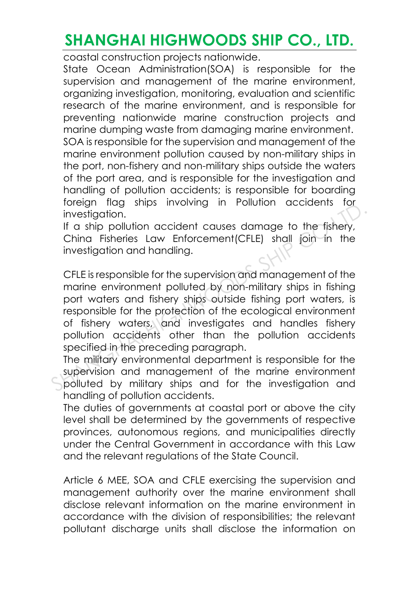coastal construction projects nationwide.

State Ocean Administration(SOA) is responsible for the supervision and management of the marine environment, organizing investigation, monitoring, evaluation and scientific research of the marine environment, and is responsible for preventing nationwide marine construction projects and marine dumping waste from damaging marine environment. SOA is responsible for the supervision and management of the marine environment pollution caused by non-military ships in the port, non-fishery and non-military ships outside the waters of the port area, and is responsible for the investigation and handling of pollution accidents; is responsible for boarding foreign flag ships involving in Pollution accidents for investigation.

If a ship pollution accident causes damage to the fishery, China Fisheries Law Enforcement(CFLE) shall join in the investigation and handling.

CFLE is responsible for the supervision and management of the marine environment polluted by non-military ships in fishing port waters and fishery ships outside fishing port waters, is responsible for the protection of the ecological environment of fishery waters, and investigates and handles fishery pollution accidents other than the pollution accidents specified in the preceding paragraph. Shares interestigation.<br>
If a ship pollution accident causes damage to the fishery,<br>
China Fisheries Law Enforcement(CFLE) shall join in the<br>
investigation and handling.<br>
CFLE is responsible for the supervision and managem

The military environmental department is responsible for the supervision and management of the marine environment polluted by military ships and for the investigation and handling of pollution accidents.

The duties of governments at coastal port or above the city level shall be determined by the governments of respective provinces, autonomous regions, and municipalities directly under the Central Government in accordance with this Law and the relevant regulations of the State Council.

Article 6 MEE, SOA and CFLE exercising the supervision and management authority over the marine environment shall disclose relevant information on the marine environment in accordance with the division of responsibilities; the relevant pollutant discharge units shall disclose the information on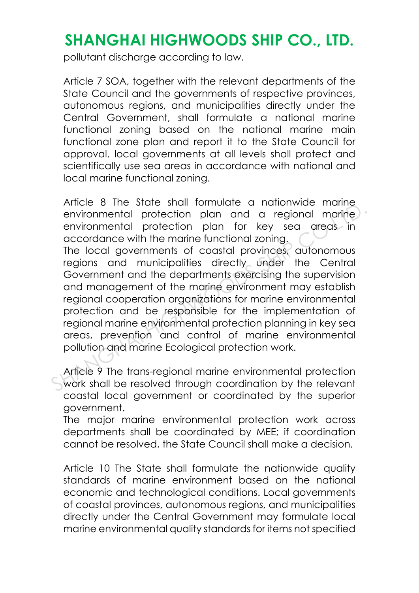pollutant discharge according to law.

Article 7 SOA, together with the relevant departments of the State Council and the governments of respective provinces, autonomous regions, and municipalities directly under the Central Government, shall formulate a national marine functional zoning based on the national marine main functional zone plan and report it to the State Council for approval. local governments at all levels shall protect and scientifically use sea areas in accordance with national and local marine functional zoning.

Article 8 The State shall formulate a nationwide marine environmental protection plan and a regional marine environmental protection plan for key sea areas in accordance with the marine functional zoning. The local governments of coastal provinces, autonomous regions and municipalities directly under the Central Government and the departments exercising the supervision and management of the marine environment may establish regional cooperation organizations for marine environmental protection and be responsible for the implementation of regional marine environmental protection planning in key sea areas, prevention and control of marine environmental pollution and marine Ecological protection work. Anciento a metalline structure of the state structure of the structure environmental protection plan for key sea creas in accordance with the marine functional zoning.<br>The local governments of coastal provinces, autonomous

Article 9 The trans-regional marine environmental protection work shall be resolved through coordination by the relevant coastal local government or coordinated by the superior government.

The major marine environmental protection work across departments shall be coordinated by MEE; if coordination cannot be resolved, the State Council shall make a decision.

Article 10 The State shall formulate the nationwide quality standards of marine environment based on the national economic and technological conditions. Local governments of coastal provinces, autonomous regions, and municipalities directly under the Central Government may formulate local marine environmental quality standards for items not specified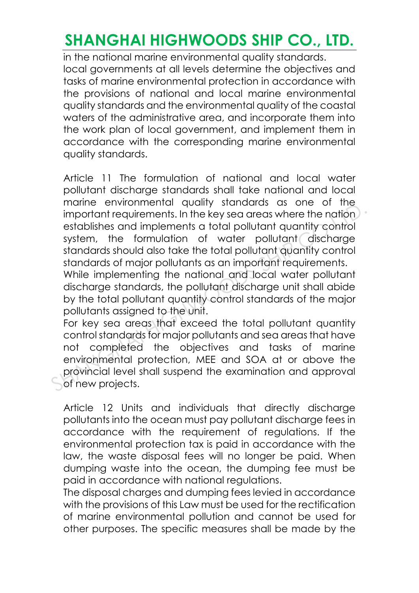in the national marine environmental quality standards. local governments at all levels determine the objectives and tasks of marine environmental protection in accordance with the provisions of national and local marine environmental quality standards and the environmental quality of the coastal waters of the administrative area, and incorporate them into the work plan of local government, and implement them in accordance with the corresponding marine environmental quality standards.

Article 11 The formulation of national and local water pollutant discharge standards shall take national and local marine environmental quality standards as one of the important requirements. In the key sea areas where the nation establishes and implements a total pollutant quantity control system, the formulation of water pollutant discharge standards should also take the total pollutant quantity control standards of major pollutants as an important requirements. While implementing the national and local water pollutant discharge standards, the pollutant discharge unit shall abide by the total pollutant quantity control standards of the major pollutants assigned to the unit. mannet environmental many standards as some or micromental important requirements. In the ky sea area where the nation establishes and implements a total pollutant quantity control system, the formulation of water pollutan

For key sea areas that exceed the total pollutant quantity control standards for major pollutants and sea areas that have not completed the objectives and tasks of marine environmental protection, MEE and SOA at or above the provincial level shall suspend the examination and approval of new projects.

Article 12 Units and individuals that directly discharge pollutants into the ocean must pay pollutant discharge fees in accordance with the requirement of regulations. If the environmental protection tax is paid in accordance with the law, the waste disposal fees will no longer be paid. When dumping waste into the ocean, the dumping fee must be paid in accordance with national regulations.

The disposal charges and dumping fees levied in accordance with the provisions of this Law must be used for the rectification of marine environmental pollution and cannot be used for other purposes. The specific measures shall be made by the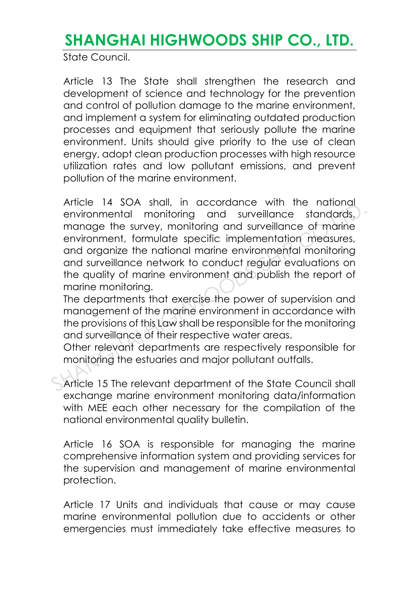State Council.

Article 13 The State shall strengthen the research and development of science and technology for the prevention and control of pollution damage to the marine environment, and implement a system for eliminating outdated production processes and equipment that seriously pollute the marine environment. Units should give priority to the use of clean energy, adopt clean production processes with high resource utilization rates and low pollutant emissions, and prevent pollution of the marine environment.

Article 14 SOA shall, in accordance with the national environmental monitoring and surveillance standards, manage the survey, monitoring and surveillance of marine environment, formulate specific implementation measures, and organize the national marine environmental monitoring and surveillance network to conduct regular evaluations on the quality of marine environment and publish the report of marine monitoring. Antice 14 300 shall, in decolution with the hadridal monitoring and surveillance standards, manage the survey, monitoring and surveillance of marine environment, formulate specific implementation measures, and organize the

The departments that exercise the power of supervision and management of the marine environment in accordance with the provisions of this Law shall be responsible for the monitoring and surveillance of their respective water areas.

Other relevant departments are respectively responsible for monitoring the estuaries and major pollutant outfalls.

Article 15 The relevant department of the State Council shall exchange marine environment monitoring data/information with MEE each other necessary for the compilation of the national environmental quality bulletin.

Article 16 SOA is responsible for managing the marine comprehensive information system and providing services for the supervision and management of marine environmental protection.

Article 17 Units and individuals that cause or may cause marine environmental pollution due to accidents or other emergencies must immediately take effective measures to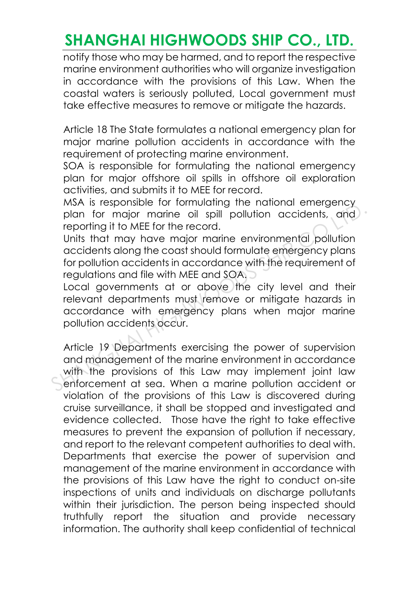notify those who may be harmed, and to report the respective marine environment authorities who will organize investigation in accordance with the provisions of this Law. When the coastal waters is seriously polluted, Local government must take effective measures to remove or mitigate the hazards.

Article 18 The State formulates a national emergency plan for major marine pollution accidents in accordance with the requirement of protecting marine environment.

SOA is responsible for formulating the national emergency plan for major offshore oil spills in offshore oil exploration activities, and submits it to MEE for record.

MSA is responsible for formulating the national emergency plan for major marine oil spill pollution accidents, and reporting it to MEE for the record.

Units that may have major marine environmental pollution accidents along the coast should formulate emergency plans for pollution accidents in accordance with the requirement of regulations and file with MEE and SOA.

Local governments at or above the city level and their relevant departments must remove or mitigate hazards in accordance with emergency plans when major marine pollution accidents occur.

Article 19 Departments exercising the power of supervision and management of the marine environment in accordance with the provisions of this Law may implement joint law enforcement at sea. When a marine pollution accident or violation of the provisions of this Law is discovered during cruise surveillance, it shall be stopped and investigated and evidence collected. Those have the right to take effective measures to prevent the expansion of pollution if necessary, and report to the relevant competent authorities to deal with. Departments that exercise the power of supervision and management of the marine environment in accordance with the provisions of this Law have the right to conduct on-site inspections of units and individuals on discharge pollutants within their jurisdiction. The person being inspected should truthfully report the situation and provide necessary information. The authority shall keep confidential of technical MATHAI Is responsible for informing the national emergency<br>plan for major marine oil spill pollution accidents, and<br>reporting it to MEE for the record.<br>Units that may have major marine environmental pollution<br>accidents alo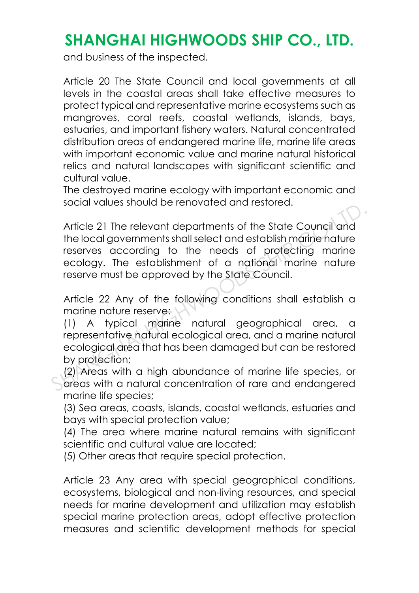and business of the inspected.

Article 20 The State Council and local governments at all levels in the coastal areas shall take effective measures to protect typical and representative marine ecosystems such as mangroves, coral reefs, coastal wetlands, islands, bays, estuaries, and important fishery waters. Natural concentrated distribution areas of endangered marine life, marine life areas with important economic value and marine natural historical relics and natural landscapes with significant scientific and cultural value.

The destroyed marine ecology with important economic and social values should be renovated and restored.

Article 21 The relevant departments of the State Council and the local governments shall select and establish marine nature reserves according to the needs of protecting marine ecology. The establishment of a national marine nature reserve must be approved by the State Council. Article 21 The relevant departments of the State Council and<br>the local governments shall select and establish marine nature<br>reserves according to the needs of protecting marine<br>ecology. The establishment of a national mari

Article 22 Any of the following conditions shall establish a marine nature reserve:

(1) A typical marine natural geographical area, a representative natural ecological area, and a marine natural ecological area that has been damaged but can be restored by protection;

(2) Areas with a high abundance of marine life species, or areas with a natural concentration of rare and endangered marine life species;

(3) Sea areas, coasts, islands, coastal wetlands, estuaries and bays with special protection value;

(4) The area where marine natural remains with significant scientific and cultural value are located;

(5) Other areas that require special protection.

Article 23 Any area with special geographical conditions, ecosystems, biological and non-living resources, and special needs for marine development and utilization may establish special marine protection areas, adopt effective protection measures and scientific development methods for special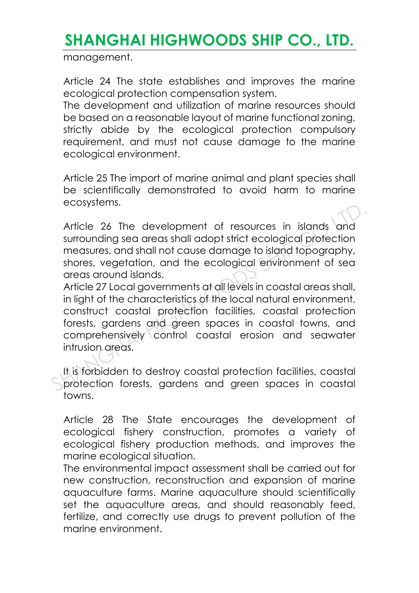management.

Article 24 The state establishes and improves the marine ecological protection compensation system.

The development and utilization of marine resources should be based on a reasonable layout of marine functional zoning, strictly abide by the ecological protection compulsory requirement, and must not cause damage to the marine ecological environment.

Article 25 The import of marine animal and plant species shall be scientifically demonstrated to avoid harm to marine ecosystems.

Article 26 The development of resources in islands and surrounding sea areas shall adopt strict ecological protection measures, and shall not cause damage to island topography, shores, vegetation, and the ecological environment of sea areas around islands.

Article 27 Local governments at all levels in coastal areas shall, in light of the characteristics of the local natural environment, construct coastal protection facilities, coastal protection forests, gardens and green spaces in coastal towns, and comprehensively control coastal erosion and seawater intrusion areas. Article 26 The development of resources in islands and<br>surrounding sea areas shall adopt strict ecological protection<br>measures, and shall not cause damage to island topography,<br>shores, vegetation, and the ecological enviro

It is forbidden to destroy coastal protection facilities, coastal protection forests, gardens and green spaces in coastal towns.

Article 28 The State encourages the development of ecological fishery construction, promotes a variety of ecological fishery production methods, and improves the marine ecological situation.

The environmental impact assessment shall be carried out for new construction, reconstruction and expansion of marine aquaculture farms. Marine aquaculture should scientifically set the aquaculture areas, and should reasonably feed, fertilize, and correctly use drugs to prevent pollution of the marine environment.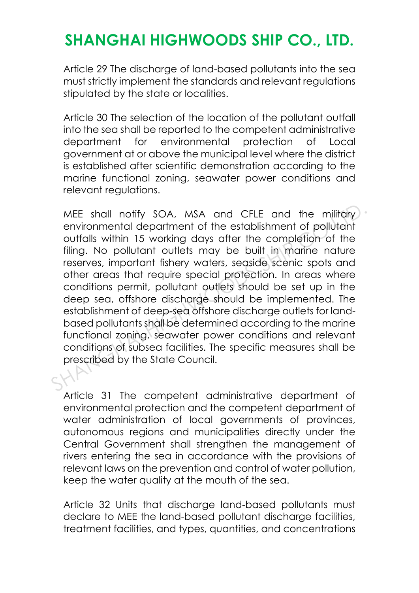Article 29 The discharge of land-based pollutants into the sea must strictly implement the standards and relevant regulations stipulated by the state or localities.

Article 30 The selection of the location of the pollutant outfall into the sea shall be reported to the competent administrative department for environmental protection of Local government at or above the municipal level where the district is established after scientific demonstration according to the marine functional zoning, seawater power conditions and relevant regulations.

MEE shall notify SOA, MSA and CFLE and the military environmental department of the establishment of pollutant outfalls within 15 working days after the completion of the filing. No pollutant outlets may be built in marine nature reserves, important fishery waters, seaside scenic spots and other areas that require special protection. In areas where conditions permit, pollutant outlets should be set up in the deep sea, offshore discharge should be implemented. The establishment of deep-sea offshore discharge outlets for landbased pollutants shall be determined according to the marine functional zoning, seawater power conditions and relevant conditions of subsea facilities. The specific measures shall be prescribed by the State Council. MEE shall notify SOA, MSA and CFLE and the military<br>environmental department of the establishment of pollutant<br>outfalls within 15 working days after the completion of the<br>filing. No pollutant outlets may be built in marine

Article 31 The competent administrative department of environmental protection and the competent department of water administration of local governments of provinces, autonomous regions and municipalities directly under the Central Government shall strengthen the management of rivers entering the sea in accordance with the provisions of relevant laws on the prevention and control of water pollution, keep the water quality at the mouth of the sea.

Article 32 Units that discharge land-based pollutants must declare to MEE the land-based pollutant discharge facilities, treatment facilities, and types, quantities, and concentrations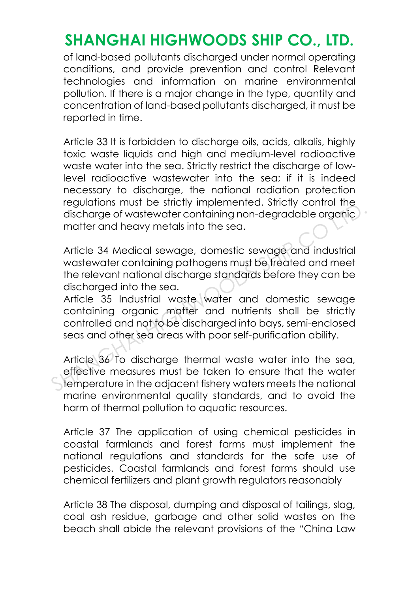of land-based pollutants discharged under normal operating conditions, and provide prevention and control Relevant technologies and information on marine environmental pollution. If there is a major change in the type, quantity and concentration of land-based pollutants discharged, it must be reported in time.

Article 33 It is forbidden to discharge oils, acids, alkalis, highly toxic waste liquids and high and medium-level radioactive waste water into the sea. Strictly restrict the discharge of lowlevel radioactive wastewater into the sea; if it is indeed necessary to discharge, the national radiation protection regulations must be strictly implemented. Strictly control the discharge of wastewater containing non-degradable organic matter and heavy metals into the sea.

Article 34 Medical sewage, domestic sewage and industrial wastewater containing pathogens must be treated and meet the relevant national discharge standards before they can be discharged into the sea. discharge of wastewater containing non-degradable organic matter and heavy metals into the sea.<br>Article 34 Medical sewage, domestic sewage and industrial wastewater containing pathogens must be freated and meet<br>the relevan

Article 35 Industrial waste water and domestic sewage containing organic matter and nutrients shall be strictly controlled and not to be discharged into bays, semi-enclosed seas and other sea areas with poor self-purification ability.

Article 36 To discharge thermal waste water into the sea, effective measures must be taken to ensure that the water temperature in the adjacent fishery waters meets the national marine environmental quality standards, and to avoid the harm of thermal pollution to aquatic resources.

Article 37 The application of using chemical pesticides in coastal farmlands and forest farms must implement the national regulations and standards for the safe use of pesticides. Coastal farmlands and forest farms should use chemical fertilizers and plant growth regulators reasonably

Article 38 The disposal, dumping and disposal of tailings, slag, coal ash residue, garbage and other solid wastes on the beach shall abide the relevant provisions of the "China Law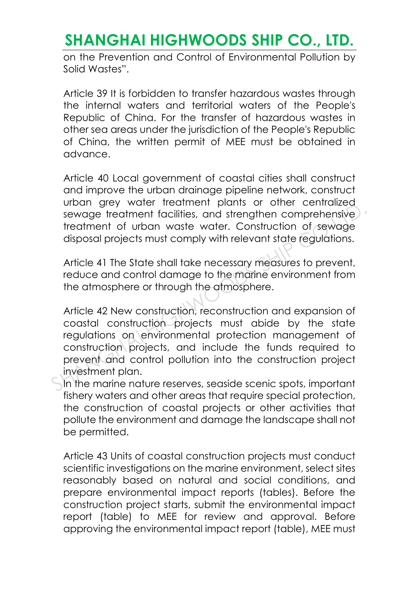on the Prevention and Control of Environmental Pollution by Solid Wastes".

Article 39 It is forbidden to transfer hazardous wastes through the internal waters and territorial waters of the People's Republic of China. For the transfer of hazardous wastes in other sea areas under the jurisdiction of the People's Republic of China, the written permit of MEE must be obtained in advance.

Article 40 Local government of coastal cities shall construct and improve the urban drainage pipeline network, construct urban grey water treatment plants or other centralized sewage treatment facilities, and strengthen comprehensive treatment of urban waste water. Construction of sewage disposal projects must comply with relevant state regulations.

Article 41 The State shall take necessary measures to prevent, reduce and control damage to the marine environment from the atmosphere or through the atmosphere.

Article 42 New construction, reconstruction and expansion of coastal construction projects must abide by the state regulations on environmental protection management of construction projects, and include the funds required to prevent and control pollution into the construction project investment plan. Show the control for the mains of the control severage treatment facilities, and strengthen comprehensive treatment of urban waste water. Construction of sewage disposal projects must comply with relevant state regulations

In the marine nature reserves, seaside scenic spots, important fishery waters and other areas that require special protection, the construction of coastal projects or other activities that pollute the environment and damage the landscape shall not be permitted.

Article 43 Units of coastal construction projects must conduct scientific investigations on the marine environment, select sites reasonably based on natural and social conditions, and prepare environmental impact reports (tables). Before the construction project starts, submit the environmental impact report (table) to MEE for review and approval. Before approving the environmental impact report (table), MEE must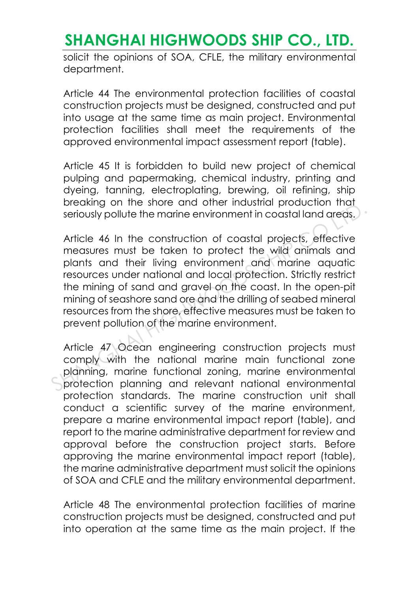solicit the opinions of SOA, CFLE, the military environmental department.

Article 44 The environmental protection facilities of coastal construction projects must be designed, constructed and put into usage at the same time as main project. Environmental protection facilities shall meet the requirements of the approved environmental impact assessment report (table).

Article 45 It is forbidden to build new project of chemical pulping and papermaking, chemical industry, printing and dyeing, tanning, electroplating, brewing, oil refining, ship breaking on the shore and other industrial production that seriously pollute the marine environment in coastal land areas.

Article 46 In the construction of coastal projects, effective measures must be taken to protect the wild animals and plants and their living environment and marine aquatic resources under national and local protection. Strictly restrict the mining of sand and gravel on the coast. In the open-pit mining of seashore sand ore and the drilling of seabed mineral resources from the shore, effective measures must be taken to prevent pollution of the marine environment. Browning of the shote and officer industrial production has seriously pollute the marine environment in coastal land areas.<br>Article 46 In the construction of coastal projects, effective measures must be taken to protect th

Article 47 Ocean engineering construction projects must comply with the national marine main functional zone planning, marine functional zoning, marine environmental protection planning and relevant national environmental protection standards. The marine construction unit shall conduct a scientific survey of the marine environment, prepare a marine environmental impact report (table), and report to the marine administrative department for review and approval before the construction project starts. Before approving the marine environmental impact report (table), the marine administrative department must solicit the opinions of SOA and CFLE and the military environmental department.

Article 48 The environmental protection facilities of marine construction projects must be designed, constructed and put into operation at the same time as the main project. If the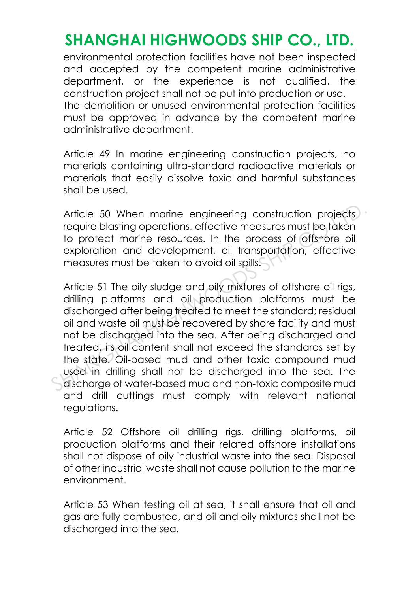environmental protection facilities have not been inspected and accepted by the competent marine administrative department, or the experience is not qualified, the construction project shall not be put into production or use. The demolition or unused environmental protection facilities must be approved in advance by the competent marine administrative department.

Article 49 In marine engineering construction projects, no materials containing ultra-standard radioactive materials or materials that easily dissolve toxic and harmful substances shall be used.

Article 50 When marine engineering construction projects require blasting operations, effective measures must be taken to protect marine resources. In the process of offshore oil exploration and development, oil transportation, effective measures must be taken to avoid oil spills.

Article 51 The oily sludge and oily mixtures of offshore oil rigs, drilling platforms and oil production platforms must be discharged after being treated to meet the standard; residual oil and waste oil must be recovered by shore facility and must not be discharged into the sea. After being discharged and treated, its oil content shall not exceed the standards set by the state. Oil-based mud and other toxic compound mud used in drilling shall not be discharged into the sea. The discharge of water-based mud and non-toxic composite mud and drill cuttings must comply with relevant national regulations. Article 50 When marine engineering construction projects<br>require blasting operations, effective measures must be taken<br>to protect marine resources. In the process of offshore oil<br>exploration and development, oil transporta

Article 52 Offshore oil drilling rigs, drilling platforms, oil production platforms and their related offshore installations shall not dispose of oily industrial waste into the sea. Disposal of other industrial waste shall not cause pollution to the marine environment.

Article 53 When testing oil at sea, it shall ensure that oil and gas are fully combusted, and oil and oily mixtures shall not be discharged into the sea.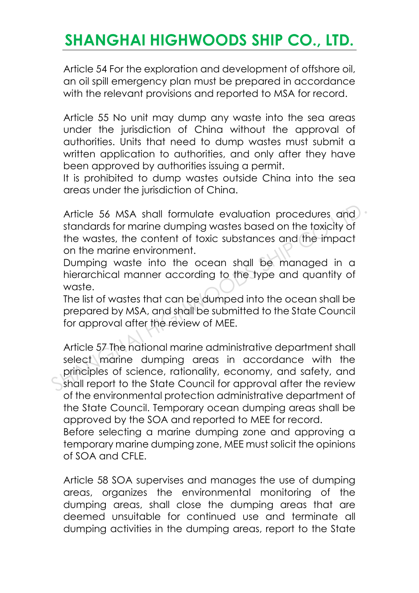Article 54 For the exploration and development of offshore oil, an oil spill emergency plan must be prepared in accordance with the relevant provisions and reported to MSA for record.

Article 55 No unit may dump any waste into the sea areas under the jurisdiction of China without the approval of authorities. Units that need to dump wastes must submit a written application to authorities, and only after they have been approved by authorities issuing a permit.

It is prohibited to dump wastes outside China into the sea areas under the jurisdiction of China.

Article 56 MSA shall formulate evaluation procedures and standards for marine dumping wastes based on the toxicity of the wastes, the content of toxic substances and the impact on the marine environment.

Dumping waste into the ocean shall be managed in a hierarchical manner according to the type and quantity of waste.

The list of wastes that can be dumped into the ocean shall be prepared by MSA, and shall be submitted to the State Council for approval after the review of MEE.

Article 57 The national marine administrative department shall select marine dumping areas in accordance with the principles of science, rationality, economy, and safety, and shall report to the State Council for approval after the review of the environmental protection administrative department of the State Council. Temporary ocean dumping areas shall be approved by the SOA and reported to MEE for record. Article 56 MSA shall formulate evaluation procedures and<br>standards for marine dumping wastes based on the toxicity of<br>the wastes, the content of toxic substances and the impact<br>on the marine environment.<br>Dumping waste into

Before selecting a marine dumping zone and approving a temporary marine dumping zone, MEE must solicit the opinions of SOA and CFLE.

Article 58 SOA supervises and manages the use of dumping areas, organizes the environmental monitoring of the dumping areas, shall close the dumping areas that are deemed unsuitable for continued use and terminate all dumping activities in the dumping areas, report to the State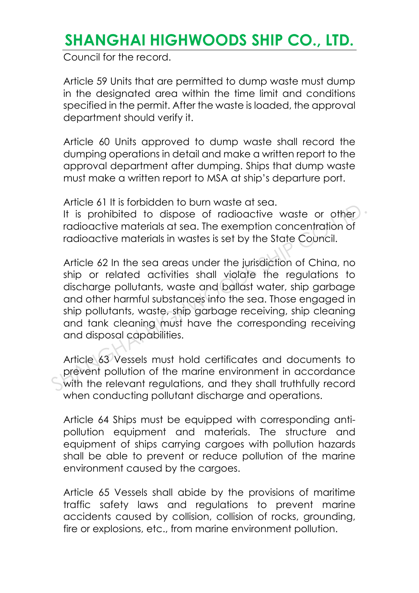Council for the record.

Article 59 Units that are permitted to dump waste must dump in the designated area within the time limit and conditions specified in the permit. After the waste is loaded, the approval department should verify it.

Article 60 Units approved to dump waste shall record the dumping operations in detail and make a written report to the approval department after dumping. Ships that dump waste must make a written report to MSA at ship's departure port.

Article 61 It is forbidden to burn waste at sea.

It is prohibited to dispose of radioactive waste or other radioactive materials at sea. The exemption concentration of radioactive materials in wastes is set by the State Council.

Article 62 In the sea areas under the jurisdiction of China, no ship or related activities shall violate the regulations to discharge pollutants, waste and ballast water, ship garbage and other harmful substances into the sea. Those engaged in ship pollutants, waste, ship garbage receiving, ship cleaning and tank cleaning must have the corresponding receiving and disposal capabilities. The state of this subsident to both waste at sea.<br>It is prohibited to dispose of radioactive waste or other radioactive materials at sea. The exemption concentration of<br>radioactive materials in wastes is set by the State C

Article 63 Vessels must hold certificates and documents to prevent pollution of the marine environment in accordance with the relevant regulations, and they shall truthfully record when conducting pollutant discharge and operations.

Article 64 Ships must be equipped with corresponding antipollution equipment and materials. The structure and equipment of ships carrying cargoes with pollution hazards shall be able to prevent or reduce pollution of the marine environment caused by the cargoes.

Article 65 Vessels shall abide by the provisions of maritime traffic safety laws and regulations to prevent marine accidents caused by collision, collision of rocks, grounding, fire or explosions, etc., from marine environment pollution.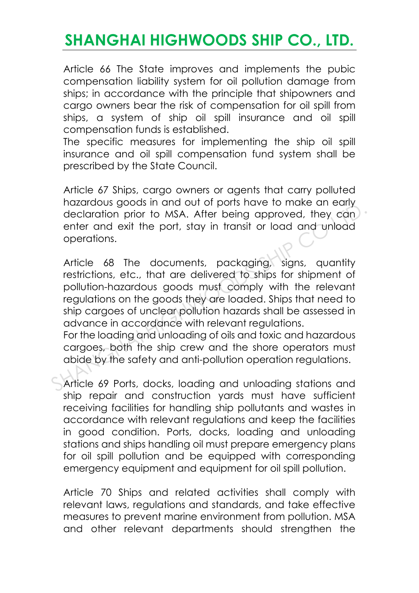Article 66 The State improves and implements the pubic compensation liability system for oil pollution damage from ships; in accordance with the principle that shipowners and cargo owners bear the risk of compensation for oil spill from ships, a system of ship oil spill insurance and oil spill compensation funds is established.

The specific measures for implementing the ship oil spill insurance and oil spill compensation fund system shall be prescribed by the State Council.

Article 67 Ships, cargo owners or agents that carry polluted hazardous goods in and out of ports have to make an early declaration prior to MSA. After being approved, they can enter and exit the port, stay in transit or load and unload operations.

Article 68 The documents, packaging, signs, quantity restrictions, etc., that are delivered to ships for shipment of pollution-hazardous goods must comply with the relevant regulations on the goods they are loaded. Ships that need to ship cargoes of unclear pollution hazards shall be assessed in advance in accordance with relevant regulations. Hacket and exist and soften principle in the set of they can enter and exist the port, stay in transit or load and unload operations.<br>
Article 68 The documents, packaging, signs, quantity restrictions, etc., that are deliv

For the loading and unloading of oils and toxic and hazardous cargoes, both the ship crew and the shore operators must abide by the safety and anti-pollution operation regulations.

Article 69 Ports, docks, loading and unloading stations and ship repair and construction yards must have sufficient receiving facilities for handling ship pollutants and wastes in accordance with relevant regulations and keep the facilities in good condition. Ports, docks, loading and unloading stations and ships handling oil must prepare emergency plans for oil spill pollution and be equipped with corresponding emergency equipment and equipment for oil spill pollution.

Article 70 Ships and related activities shall comply with relevant laws, regulations and standards, and take effective measures to prevent marine environment from pollution. MSA and other relevant departments should strengthen the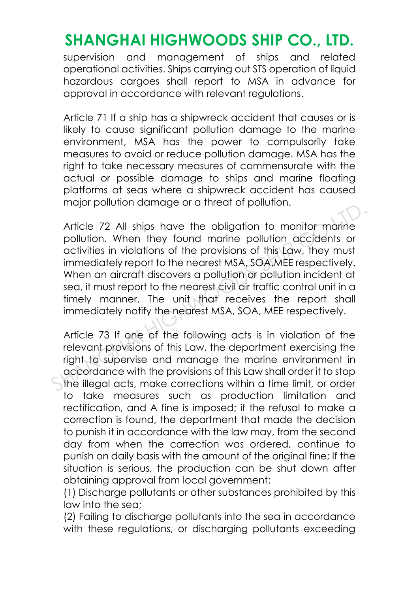supervision and management of ships and related operational activities. Ships carrying out STS operation of liquid hazardous cargoes shall report to MSA in advance for approval in accordance with relevant regulations.

Article 71 If a ship has a shipwreck accident that causes or is likely to cause significant pollution damage to the marine environment, MSA has the power to compulsorily take measures to avoid or reduce pollution damage. MSA has the right to take necessary measures of commensurate with the actual or possible damage to ships and marine floating platforms at seas where a shipwreck accident has caused major pollution damage or a threat of pollution.

Article 72 All ships have the obligation to monitor marine pollution. When they found marine pollution accidents or activities in violations of the provisions of this Law, they must immediately report to the nearest MSA, SOA,MEE respectively. When an aircraft discovers a pollution or pollution incident at sea, it must report to the nearest civil air traffic control unit in a timely manner. The unit that receives the report shall immediately notify the nearest MSA, SOA, MEE respectively. Article 72 All ships have the obligation to monitor marine<br>pollution. When they found marine pollution accidents or<br>activities in violations of the provisions of this Law, they must<br>immediately report to the nearest MSA, S

Article 73 If one of the following acts is in violation of the relevant provisions of this Law, the department exercising the right to supervise and manage the marine environment in accordance with the provisions of this Law shall order it to stop the illegal acts, make corrections within a time limit, or order to take measures such as production limitation and rectification, and A fine is imposed; if the refusal to make a correction is found, the department that made the decision to punish it in accordance with the law may, from the second day from when the correction was ordered, continue to punish on daily basis with the amount of the original fine; If the situation is serious, the production can be shut down after obtaining approval from local government:

(1) Discharge pollutants or other substances prohibited by this law into the sea;

(2) Failing to discharge pollutants into the sea in accordance with these regulations, or discharging pollutants exceeding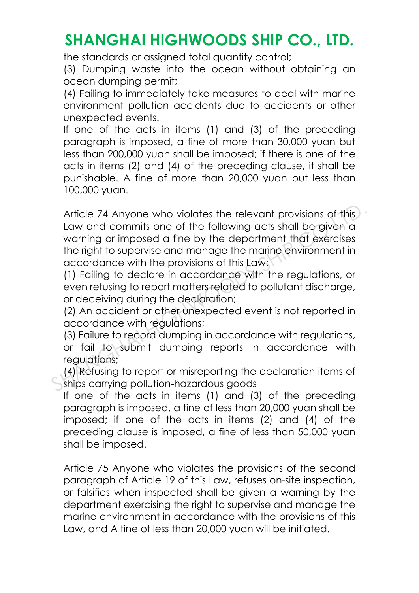the standards or assigned total quantity control;

(3) Dumping waste into the ocean without obtaining an ocean dumping permit;

(4) Failing to immediately take measures to deal with marine environment pollution accidents due to accidents or other unexpected events.

If one of the acts in items (1) and (3) of the preceding paragraph is imposed, a fine of more than 30,000 yuan but less than 200,000 yuan shall be imposed; if there is one of the acts in items (2) and (4) of the preceding clause, it shall be punishable. A fine of more than 20,000 yuan but less than 100,000 yuan.

Article 74 Anyone who violates the relevant provisions of this Law and commits one of the following acts shall be given a warning or imposed a fine by the department that exercises the right to supervise and manage the marine environment in accordance with the provisions of this Law: Article 74 Anyone who violates the relevant provisions of this<br>Law and commits one of the following acts shall be given a<br>warning or imposed a fine by the department that exercises<br>the right to supervise and manage the mar

(1) Failing to declare in accordance with the regulations, or even refusing to report matters related to pollutant discharge, or deceiving during the declaration;

(2) An accident or other unexpected event is not reported in accordance with regulations;

(3) Failure to record dumping in accordance with regulations, or fail to submit dumping reports in accordance with regulations;

(4) Refusing to report or misreporting the declaration items of ships carrying pollution-hazardous goods

If one of the acts in items (1) and (3) of the preceding paragraph is imposed, a fine of less than 20,000 yuan shall be imposed; if one of the acts in items (2) and (4) of the preceding clause is imposed, a fine of less than 50,000 yuan shall be imposed.

Article 75 Anyone who violates the provisions of the second paragraph of Article 19 of this Law, refuses on-site inspection, or falsifies when inspected shall be given a warning by the department exercising the right to supervise and manage the marine environment in accordance with the provisions of this Law, and A fine of less than 20,000 yuan will be initiated.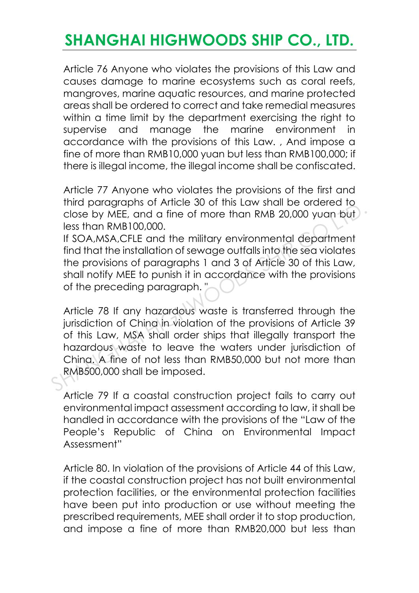Article 76 Anyone who violates the provisions of this Law and causes damage to marine ecosystems such as coral reefs, mangroves, marine aquatic resources, and marine protected areas shall be ordered to correct and take remedial measures within a time limit by the department exercising the right to supervise and manage the marine environment in accordance with the provisions of this Law. , And impose a fine of more than RMB10,000 yuan but less than RMB100,000; if there is illegal income, the illegal income shall be confiscated.

Article 77 Anyone who violates the provisions of the first and third paragraphs of Article 30 of this Law shall be ordered to close by MEE, and a fine of more than RMB 20,000 yuan but less than RMB100,000.

If SOA,MSA,CFLE and the military environmental department find that the installation of sewage outfalls into the sea violates the provisions of paragraphs 1 and 3 of Article 30 of this Law, shall notify MEE to punish it in accordance with the provisions of the preceding paragraph. "

Article 78 If any hazardous waste is transferred through the jurisdiction of Ching in violation of the provisions of Article 39 of this Law, MSA shall order ships that illegally transport the hazardous waste to leave the waters under jurisdiction of China. A fine of not less than RMB50,000 but not more than RMB500,000 shall be imposed. The paragraphs of Africa 30 of this Law shall be otected to<br>close by MEE, and a fine of more than RMB 20,000 yuan but<br>less than RMB100,000.<br>If SOA,MSA,CFLE and the military environmental department<br>find that the installati

Article 79 If a coastal construction project fails to carry out environmental impact assessment according to law, it shall be handled in accordance with the provisions of the "Law of the People's Republic of China on Environmental Impact Assessment"

Article 80. In violation of the provisions of Article 44 of this Law, if the coastal construction project has not built environmental protection facilities, or the environmental protection facilities have been put into production or use without meeting the prescribed requirements, MEE shall order it to stop production, and impose a fine of more than RMB20,000 but less than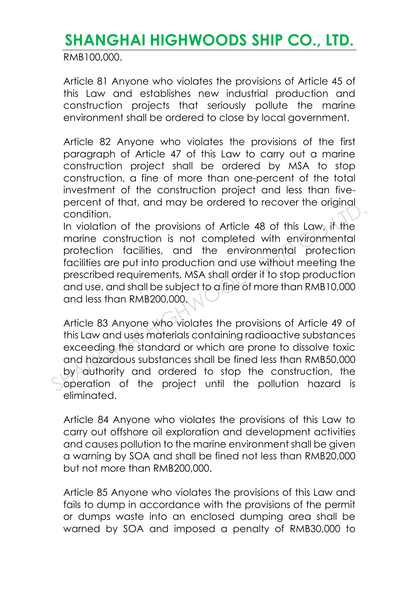RMB100,000.

Article 81 Anyone who violates the provisions of Article 45 of this Law and establishes new industrial production and construction projects that seriously pollute the marine environment shall be ordered to close by local government.

Article 82 Anyone who violates the provisions of the first paragraph of Article 47 of this Law to carry out a marine construction project shall be ordered by MSA to stop construction, a fine of more than one-percent of the total investment of the construction project and less than fivepercent of that, and may be ordered to recover the original condition.

In violation of the provisions of Article 48 of this Law, if the marine construction is not completed with environmental protection facilities, and the environmental protection facilities are put into production and use without meeting the prescribed requirements, MSA shall order it to stop production and use, and shall be subject to a fine of more than RMB10,000 and less than RMB200,000. precention.<br>
In violation of the provisions of Article 48 of this Law, if the<br>
marine construction is not completed with environmental<br>
protection facilities, and the environmental protection<br>
facilities are put into produ

Article 83 Anyone who violates the provisions of Article 49 of this Law and uses materials containing radioactive substances exceeding the standard or which are prone to dissolve toxic and hazardous substances shall be fined less than RMB50,000 by authority and ordered to stop the construction, the operation of the project until the pollution hazard is eliminated.

Article 84 Anyone who violates the provisions of this Law to carry out offshore oil exploration and development activities and causes pollution to the marine environment shall be given a warning by SOA and shall be fined not less than RMB20,000 but not more than RMB200,000.

Article 85 Anyone who violates the provisions of this Law and fails to dump in accordance with the provisions of the permit or dumps waste into an enclosed dumping area shall be warned by SOA and imposed a penalty of RMB30,000 to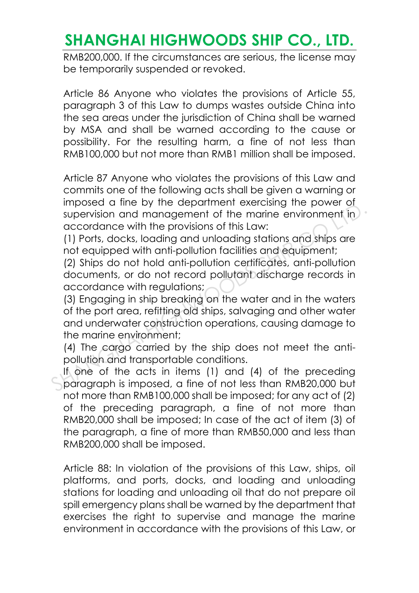RMB200,000. If the circumstances are serious, the license may be temporarily suspended or revoked.

Article 86 Anyone who violates the provisions of Article 55, paragraph 3 of this Law to dumps wastes outside China into the sea areas under the jurisdiction of China shall be warned by MSA and shall be warned according to the cause or possibility. For the resulting harm, a fine of not less than RMB100,000 but not more than RMB1 million shall be imposed.

Article 87 Anyone who violates the provisions of this Law and commits one of the following acts shall be given a warning or imposed a fine by the department exercising the power of supervision and management of the marine environment in accordance with the provisions of this Law:

(1) Ports, docks, loading and unloading stations and ships are not equipped with anti-pollution facilities and equipment;

(2) Ships do not hold anti-pollution certificates, anti-pollution documents, or do not record pollutant discharge records in accordance with regulations;

(3) Engaging in ship breaking on the water and in the waters of the port area, refitting old ships, salvaging and other water and underwater construction operations, causing damage to the marine environment; mposizion and management of the marine environment in accordance with the provisions of this Law:<br>(1) Ports, docks, loading and unloading stations and ships are<br>not equipped with anti-pollution facilities and equipment;<br>(2

(4) The cargo carried by the ship does not meet the antipollution and transportable conditions.

If one of the acts in items (1) and (4) of the preceding paragraph is imposed, a fine of not less than RMB20,000 but not more than RMB100,000 shall be imposed; for any act of (2) of the preceding paragraph, a fine of not more than RMB20,000 shall be imposed; In case of the act of item (3) of the paragraph, a fine of more than RMB50,000 and less than RMB200,000 shall be imposed.

Article 88: In violation of the provisions of this Law, ships, oil platforms, and ports, docks, and loading and unloading stations for loading and unloading oil that do not prepare oil spill emergency plans shall be warned by the department that exercises the right to supervise and manage the marine environment in accordance with the provisions of this Law, or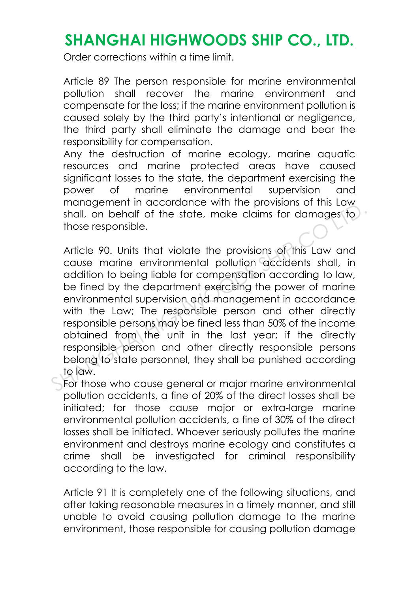Order corrections within a time limit.

Article 89 The person responsible for marine environmental pollution shall recover the marine environment and compensate for the loss; if the marine environment pollution is caused solely by the third party's intentional or negligence, the third party shall eliminate the damage and bear the responsibility for compensation.

Any the destruction of marine ecology, marine aquatic resources and marine protected areas have caused significant losses to the state, the department exercising the power of marine environmental supervision and management in accordance with the provisions of this Law shall, on behalf of the state, make claims for damages to those responsible.

Article 90. Units that violate the provisions of this Law and cause marine environmental pollution accidents shall, in addition to being liable for compensation according to law, be fined by the department exercising the power of marine environmental supervision and management in accordance with the Law; The responsible person and other directly responsible persons may be fined less than 50% of the income obtained from the unit in the last year; if the directly responsible person and other directly responsible persons belong to state personnel, they shall be punished according to law. management in accordance with the provisions of this Law<br>shall, on behalf of the state, make claims for damages to<br>those responsible.<br>Article 90. Units that violate the provisions of this Law and<br>cause marine environmental

For those who cause general or major marine environmental pollution accidents, a fine of 20% of the direct losses shall be initiated; for those cause major or extra-large marine environmental pollution accidents, a fine of 30% of the direct losses shall be initiated. Whoever seriously pollutes the marine environment and destroys marine ecology and constitutes a crime shall be investigated for criminal responsibility according to the law.

Article 91 It is completely one of the following situations, and after taking reasonable measures in a timely manner, and still unable to avoid causing pollution damage to the marine environment, those responsible for causing pollution damage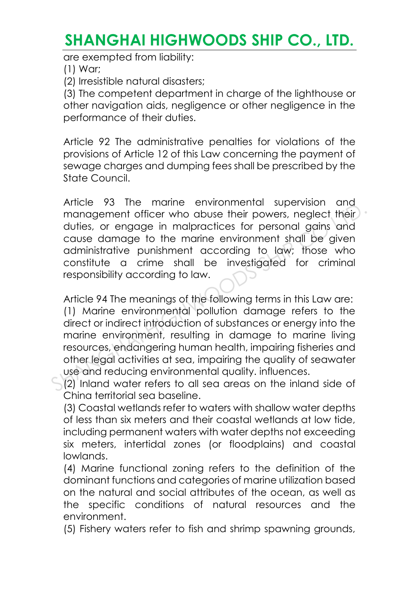are exempted from liability:

(1) War;

(2) Irresistible natural disasters;

(3) The competent department in charge of the lighthouse or other navigation aids, negligence or other negligence in the performance of their duties.

Article 92 The administrative penalties for violations of the provisions of Article 12 of this Law concerning the payment of sewage charges and dumping fees shall be prescribed by the State Council.

Article 93 The marine environmental supervision and management officer who abuse their powers, neglect their duties, or engage in malpractices for personal gains and cause damage to the marine environment shall be given administrative punishment according to law; those who constitute a crime shall be investigated for criminal responsibility according to law.

Article 94 The meanings of the following terms in this Law are: (1) Marine environmental pollution damage refers to the direct or indirect introduction of substances or energy into the marine environment, resulting in damage to marine living resources, endangering human health, impairing fisheries and other legal activities at sea, impairing the quality of seawater use and reducing environmental quality. influences. Amchingment of their modus the monographic management of the modus the modus their duties, or engage in malpractices for personal gains and cause damage to the marine environment shall be given administrative punishment ac

(2) Inland water refers to all sea areas on the inland side of China territorial sea baseline.

(3) Coastal wetlands refer to waters with shallow water depths of less than six meters and their coastal wetlands at low tide, including permanent waters with water depths not exceeding six meters, intertidal zones (or floodplains) and coastal lowlands.

(4) Marine functional zoning refers to the definition of the dominant functions and categories of marine utilization based on the natural and social attributes of the ocean, as well as the specific conditions of natural resources and the environment.

(5) Fishery waters refer to fish and shrimp spawning grounds,